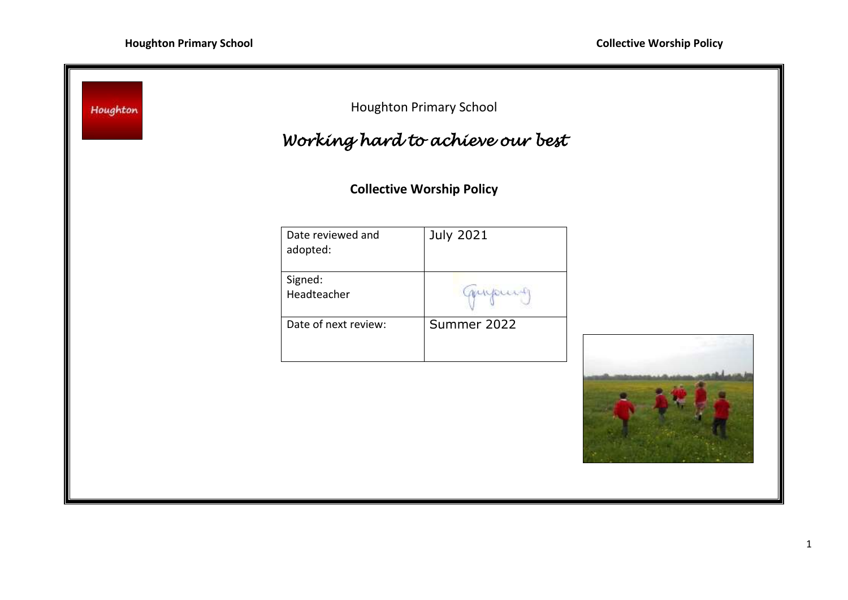7

| <b>Houghton Primary School</b><br>Houghton<br>Working hard to achieve our best |                  |                                  |
|--------------------------------------------------------------------------------|------------------|----------------------------------|
|                                                                                |                  |                                  |
| Date reviewed and<br>adopted:                                                  | <b>July 2021</b> |                                  |
| Signed:<br>Headteacher                                                         | mupust           |                                  |
| Date of next review:                                                           | Summer 2022      |                                  |
|                                                                                |                  |                                  |
|                                                                                |                  | <b>Collective Worship Policy</b> |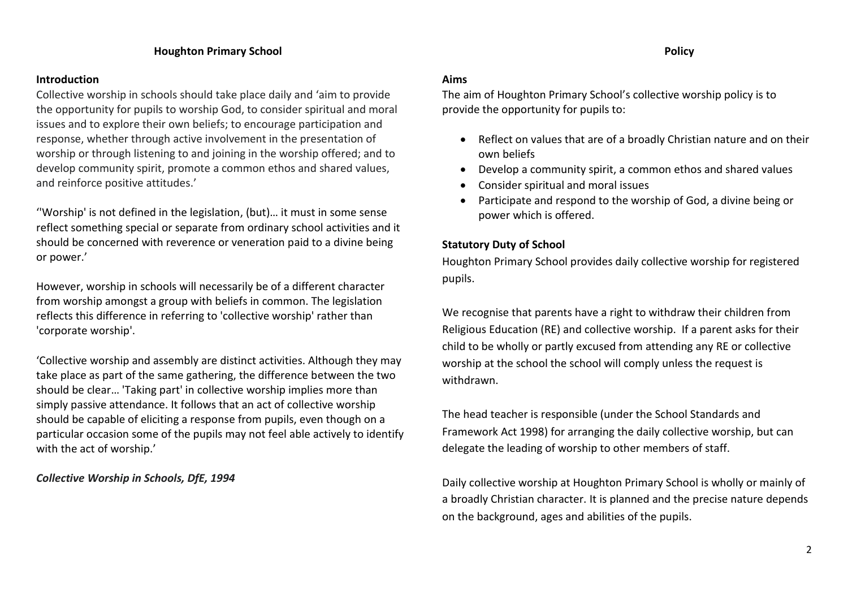## **Introduction**

Collective worship in schools should take place daily and 'aim to provide the opportunity for pupils to worship God, to consider spiritual and moral issues and to explore their own beliefs; to encourage participation and response, whether through active involvement in the presentation of worship or through listening to and joining in the worship offered; and to develop community spirit, promote a common ethos and shared values, and reinforce positive attitudes.'

''Worship' is not defined in the legislation, (but)… it must in some sense reflect something special or separate from ordinary school activities and it should be concerned with reverence or veneration paid to a divine being or power.'

However, worship in schools will necessarily be of a different character from worship amongst a group with beliefs in common. The legislation reflects this difference in referring to 'collective worship' rather than 'corporate worship'.

'Collective worship and assembly are distinct activities. Although they may take place as part of the same gathering, the difference between the two should be clear… 'Taking part' in collective worship implies more than simply passive attendance. It follows that an act of collective worship should be capable of eliciting a response from pupils, even though on a particular occasion some of the pupils may not feel able actively to identify with the act of worship.'

*Collective Worship in Schools, DfE, 1994*

### **Aims**

The aim of Houghton Primary School's collective worship policy is to provide the opportunity for pupils to:

- Reflect on values that are of a broadly Christian nature and on their own beliefs
- Develop a community spirit, a common ethos and shared values
- Consider spiritual and moral issues
- Participate and respond to the worship of God, a divine being or power which is offered.

# **Statutory Duty of School**

Houghton Primary School provides daily collective worship for registered pupils.

We recognise that parents have a right to withdraw their children from Religious Education (RE) and collective worship. If a parent asks for their child to be wholly or partly excused from attending any RE or collective worship at the school the school will comply unless the request is withdrawn.

The head teacher is responsible (under the School Standards and Framework Act 1998) for arranging the daily collective worship, but can delegate the leading of worship to other members of staff.

Daily collective worship at Houghton Primary School is wholly or mainly of a broadly Christian character. It is planned and the precise nature depends on the background, ages and abilities of the pupils.